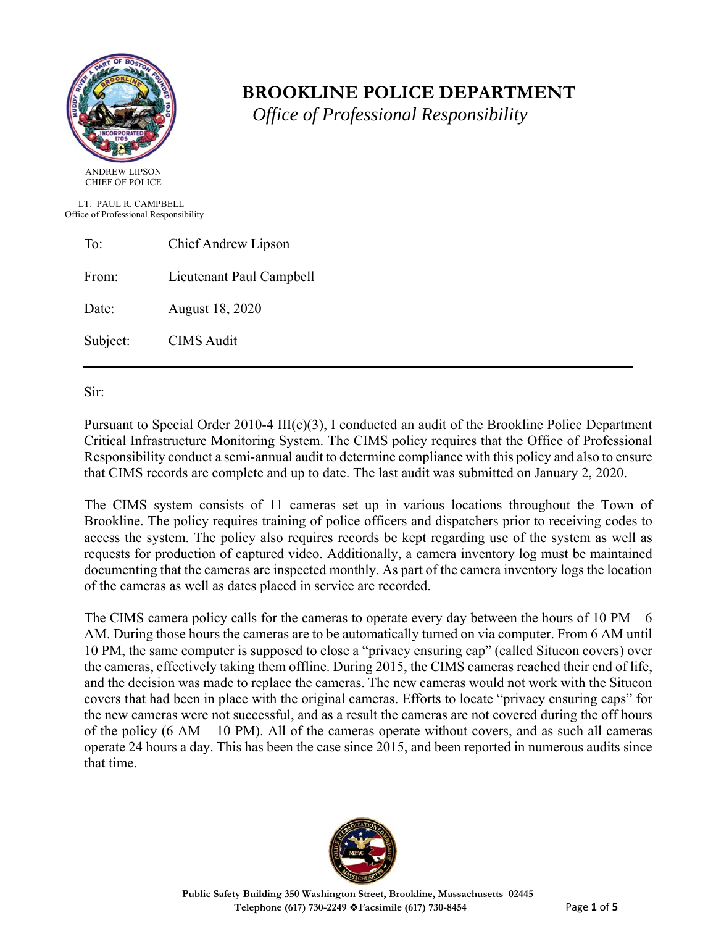

# **BROOKLINE POLICE DEPARTMENT**

 *Office of Professional Responsibility*

 LT. PAUL R. CAMPBELL Office of Professional Responsibility

| To:      | Chief Andrew Lipson      |  |
|----------|--------------------------|--|
| From:    | Lieutenant Paul Campbell |  |
| Date:    | August 18, 2020          |  |
| Subject: | <b>CIMS</b> Audit        |  |

Sir:

Pursuant to Special Order 2010-4 III(c)(3), I conducted an audit of the Brookline Police Department Critical Infrastructure Monitoring System. The CIMS policy requires that the Office of Professional Responsibility conduct a semi-annual audit to determine compliance with this policy and also to ensure that CIMS records are complete and up to date. The last audit was submitted on January 2, 2020.

The CIMS system consists of 11 cameras set up in various locations throughout the Town of Brookline. The policy requires training of police officers and dispatchers prior to receiving codes to access the system. The policy also requires records be kept regarding use of the system as well as requests for production of captured video. Additionally, a camera inventory log must be maintained documenting that the cameras are inspected monthly. As part of the camera inventory logs the location of the cameras as well as dates placed in service are recorded.

The CIMS camera policy calls for the cameras to operate every day between the hours of 10 PM – 6 AM. During those hours the cameras are to be automatically turned on via computer. From 6 AM until 10 PM, the same computer is supposed to close a "privacy ensuring cap" (called Situcon covers) over the cameras, effectively taking them offline. During 2015, the CIMS cameras reached their end of life, and the decision was made to replace the cameras. The new cameras would not work with the Situcon covers that had been in place with the original cameras. Efforts to locate "privacy ensuring caps" for the new cameras were not successful, and as a result the cameras are not covered during the off hours of the policy  $(6 \text{ AM} - 10 \text{ PM})$ . All of the cameras operate without covers, and as such all cameras operate 24 hours a day. This has been the case since 2015, and been reported in numerous audits since that time.

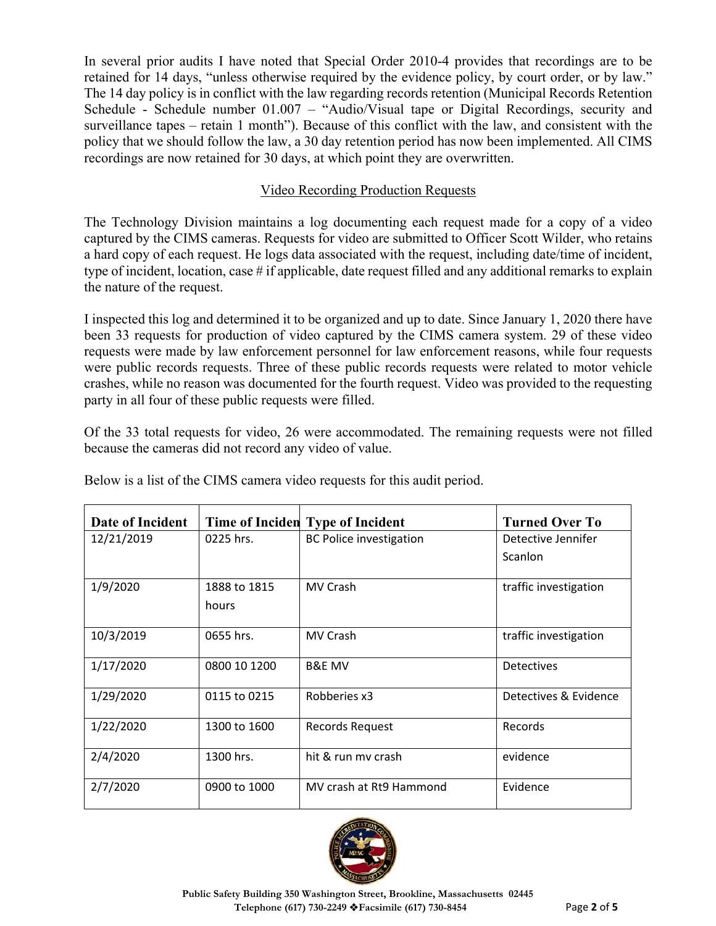In several prior audits I have noted that Special Order 2010-4 provides that recordings are to be retained for 14 days, "unless otherwise required by the evidence policy, by court order, or by law." The 14 day policy is in conflict with the law regarding records retention (Municipal Records Retention Schedule - Schedule number 01.007 – "Audio/Visual tape or Digital Recordings, security and surveillance tapes – retain 1 month"). Because of this conflict with the law, and consistent with the policy that we should follow the law, a 30 day retention period has now been implemented. All CIMS recordings are now retained for 30 days, at which point they are overwritten.

## Video Recording Production Requests

The Technology Division maintains a log documenting each request made for a copy of a video captured by the CIMS cameras. Requests for video are submitted to Officer Scott Wilder, who retains a hard copy of each request. He logs data associated with the request, including date/time of incident, type of incident, location, case # if applicable, date request filled and any additional remarks to explain the nature of the request.

I inspected this log and determined it to be organized and up to date. Since January 1, 2020 there have been 33 requests for production of video captured by the CIMS camera system. 29 of these video requests were made by law enforcement personnel for law enforcement reasons, while four requests were public records requests. Three of these public records requests were related to motor vehicle crashes, while no reason was documented for the fourth request. Video was provided to the requesting party in all four of these public requests were filled.

Of the 33 total requests for video, 26 were accommodated. The remaining requests were not filled because the cameras did not record any video of value.

| Date of Incident |              | Time of Inciden Type of Incident | <b>Turned Over To</b> |
|------------------|--------------|----------------------------------|-----------------------|
| 12/21/2019       | 0225 hrs.    | <b>BC Police investigation</b>   | Detective Jennifer    |
|                  |              |                                  | Scanlon               |
| 1/9/2020         | 1888 to 1815 | MV Crash                         | traffic investigation |
|                  | hours        |                                  |                       |
| 10/3/2019        | 0655 hrs.    | MV Crash                         | traffic investigation |
| 1/17/2020        | 0800 10 1200 | <b>B&amp;E MV</b>                | Detectives            |
| 1/29/2020        | 0115 to 0215 | Robberies x3                     | Detectives & Evidence |
| 1/22/2020        | 1300 to 1600 | Records Request                  | Records               |
| 2/4/2020         | 1300 hrs.    | hit & run my crash               | evidence              |
| 2/7/2020         | 0900 to 1000 | MV crash at Rt9 Hammond          | Evidence              |

Below is a list of the CIMS camera video requests for this audit period.

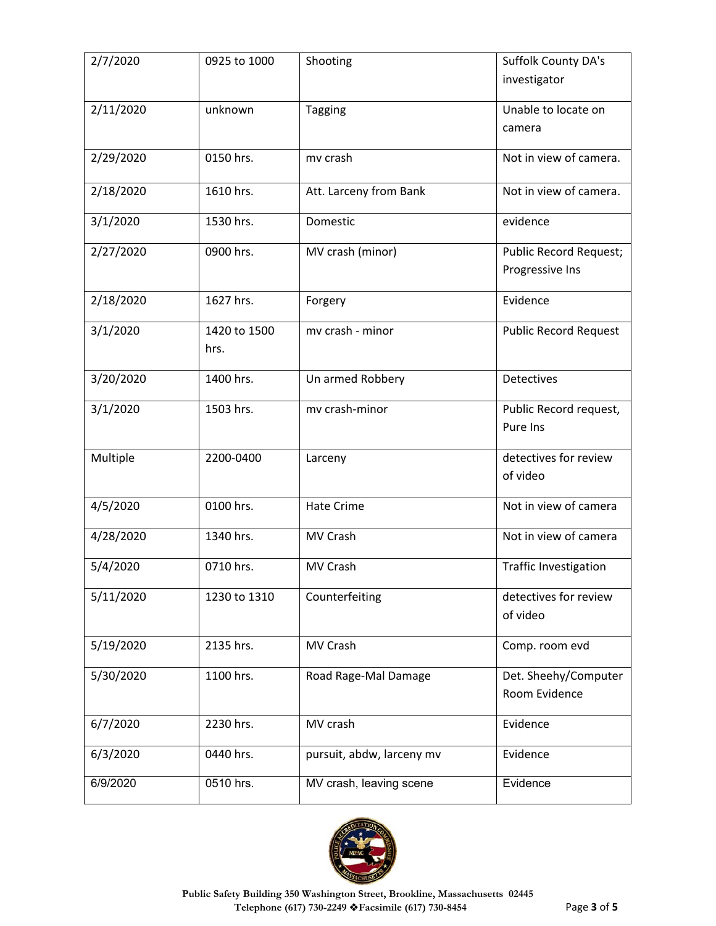| 2/7/2020  | 0925 to 1000         | Shooting                  | Suffolk County DA's<br>investigator       |
|-----------|----------------------|---------------------------|-------------------------------------------|
| 2/11/2020 | unknown              | <b>Tagging</b>            | Unable to locate on<br>camera             |
| 2/29/2020 | 0150 hrs.            | mv crash                  | Not in view of camera.                    |
| 2/18/2020 | 1610 hrs.            | Att. Larceny from Bank    | Not in view of camera.                    |
| 3/1/2020  | 1530 hrs.            | Domestic                  | evidence                                  |
| 2/27/2020 | 0900 hrs.            | MV crash (minor)          | Public Record Request;<br>Progressive Ins |
| 2/18/2020 | 1627 hrs.            | Forgery                   | Evidence                                  |
| 3/1/2020  | 1420 to 1500<br>hrs. | mv crash - minor          | <b>Public Record Request</b>              |
| 3/20/2020 | 1400 hrs.            | Un armed Robbery          | Detectives                                |
| 3/1/2020  | 1503 hrs.            | mv crash-minor            | Public Record request,<br>Pure Ins        |
| Multiple  | 2200-0400            | Larceny                   | detectives for review<br>of video         |
| 4/5/2020  | 0100 hrs.            | <b>Hate Crime</b>         | Not in view of camera                     |
| 4/28/2020 | 1340 hrs.            | MV Crash                  | Not in view of camera                     |
| 5/4/2020  | 0710 hrs.            | MV Crash                  | <b>Traffic Investigation</b>              |
| 5/11/2020 | 1230 to 1310         | Counterfeiting            | detectives for review<br>of video         |
| 5/19/2020 | 2135 hrs.            | MV Crash                  | Comp. room evd                            |
| 5/30/2020 | 1100 hrs.            | Road Rage-Mal Damage      | Det. Sheehy/Computer<br>Room Evidence     |
| 6/7/2020  | 2230 hrs.            | MV crash                  | Evidence                                  |
| 6/3/2020  | 0440 hrs.            | pursuit, abdw, larceny mv | Evidence                                  |
| 6/9/2020  | 0510 hrs.            | MV crash, leaving scene   | Evidence                                  |

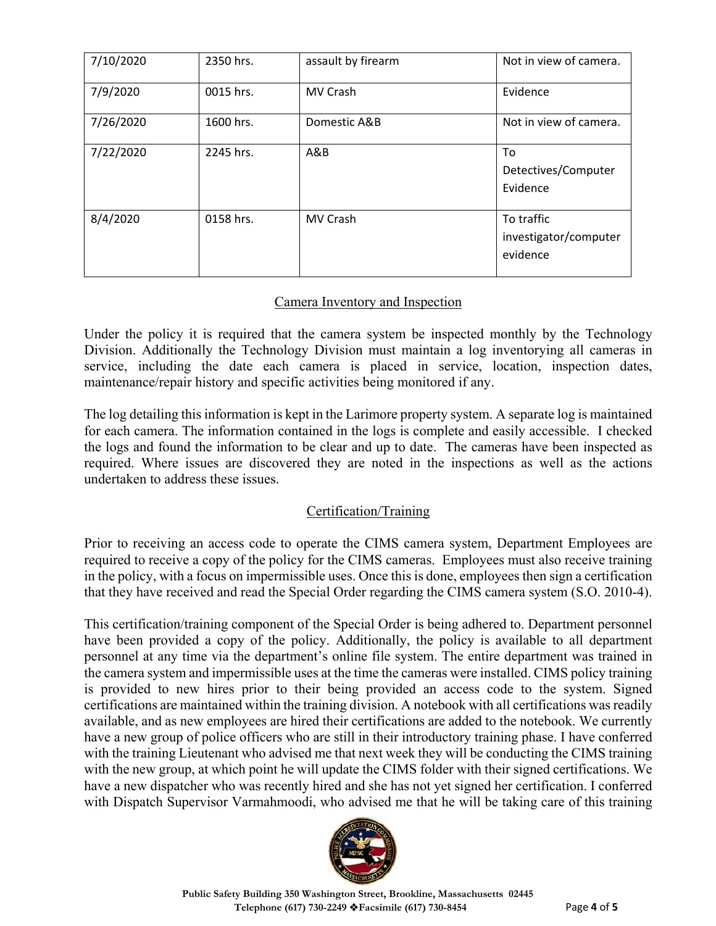| 7/10/2020 | 2350 hrs. | assault by firearm | Not in view of camera.                          |
|-----------|-----------|--------------------|-------------------------------------------------|
| 7/9/2020  | 0015 hrs. | <b>MV Crash</b>    | Evidence                                        |
| 7/26/2020 | 1600 hrs. | Domestic A&B       | Not in view of camera.                          |
| 7/22/2020 | 2245 hrs. | A&B                | To<br>Detectives/Computer<br>Evidence           |
| 8/4/2020  | 0158 hrs. | <b>MV Crash</b>    | To traffic<br>investigator/computer<br>evidence |

### Camera Inventory and Inspection

Under the policy it is required that the camera system be inspected monthly by the Technology Division. Additionally the Technology Division must maintain a log inventorying all cameras in service, including the date each camera is placed in service, location, inspection dates, maintenance/repair history and specific activities being monitored if any.

The log detailing this information is kept in the Larimore property system. A separate log is maintained for each camera. The information contained in the logs is complete and easily accessible. I checked the logs and found the information to be clear and up to date. The cameras have been inspected as required. Where issues are discovered they are noted in the inspections as well as the actions undertaken to address these issues.

### Certification/Training

Prior to receiving an access code to operate the CIMS camera system, Department Employees are required to receive a copy of the policy for the CIMS cameras. Employees must also receive training in the policy, with a focus on impermissible uses. Once this is done, employees then sign a certification that they have received and read the Special Order regarding the CIMS camera system (S.O. 2010-4).

This certification/training component of the Special Order is being adhered to. Department personnel have been provided a copy of the policy. Additionally, the policy is available to all department personnel at any time via the department's online file system. The entire department was trained in the camera system and impermissible uses at the time the cameras were installed. CIMS policy training is provided to new hires prior to their being provided an access code to the system. Signed certifications are maintained within the training division. A notebook with all certifications was readily available, and as new employees are hired their certifications are added to the notebook. We currently have a new group of police officers who are still in their introductory training phase. I have conferred with the training Lieutenant who advised me that next week they will be conducting the CIMS training with the new group, at which point he will update the CIMS folder with their signed certifications. We have a new dispatcher who was recently hired and she has not yet signed her certification. I conferred with Dispatch Supervisor Varmahmoodi, who advised me that he will be taking care of this training